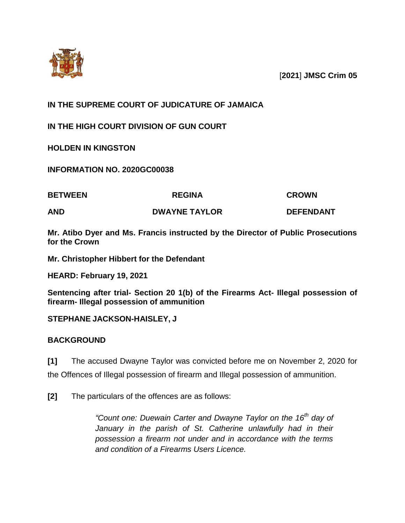

[**2021**] **JMSC Crim 05**

# **IN THE SUPREME COURT OF JUDICATURE OF JAMAICA**

**IN THE HIGH COURT DIVISION OF GUN COURT**

**HOLDEN IN KINGSTON**

**INFORMATION NO. 2020GC00038**

| <b>BETWEEN</b> | <b>REGINA</b>        | <b>CROWN</b>     |
|----------------|----------------------|------------------|
| AND            | <b>DWAYNE TAYLOR</b> | <b>DEFENDANT</b> |

**Mr. Atibo Dyer and Ms. Francis instructed by the Director of Public Prosecutions for the Crown**

**Mr. Christopher Hibbert for the Defendant**

**HEARD: February 19, 2021**

**Sentencing after trial- Section 20 1(b) of the Firearms Act- Illegal possession of firearm- Illegal possession of ammunition**

**STEPHANE JACKSON-HAISLEY, J**

## **BACKGROUND**

**[1]** The accused Dwayne Taylor was convicted before me on November 2, 2020 for the Offences of Illegal possession of firearm and Illegal possession of ammunition.

**[2]** The particulars of the offences are as follows:

*"Count one: Duewain Carter and Dwayne Taylor on the 16th day of January in the parish of St. Catherine unlawfully had in their possession a firearm not under and in accordance with the terms and condition of a Firearms Users Licence.*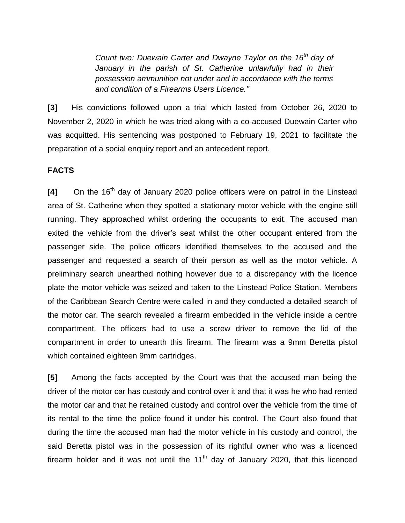*Count two: Duewain Carter and Dwayne Taylor on the 16th day of January in the parish of St. Catherine unlawfully had in their possession ammunition not under and in accordance with the terms and condition of a Firearms Users Licence."*

**[3]** His convictions followed upon a trial which lasted from October 26, 2020 to November 2, 2020 in which he was tried along with a co-accused Duewain Carter who was acquitted. His sentencing was postponed to February 19, 2021 to facilitate the preparation of a social enquiry report and an antecedent report.

#### **FACTS**

**[4]** On the 16<sup>th</sup> day of January 2020 police officers were on patrol in the Linstead area of St. Catherine when they spotted a stationary motor vehicle with the engine still running. They approached whilst ordering the occupants to exit. The accused man exited the vehicle from the driver's seat whilst the other occupant entered from the passenger side. The police officers identified themselves to the accused and the passenger and requested a search of their person as well as the motor vehicle. A preliminary search unearthed nothing however due to a discrepancy with the licence plate the motor vehicle was seized and taken to the Linstead Police Station. Members of the Caribbean Search Centre were called in and they conducted a detailed search of the motor car. The search revealed a firearm embedded in the vehicle inside a centre compartment. The officers had to use a screw driver to remove the lid of the compartment in order to unearth this firearm. The firearm was a 9mm Beretta pistol which contained eighteen 9mm cartridges.

**[5]** Among the facts accepted by the Court was that the accused man being the driver of the motor car has custody and control over it and that it was he who had rented the motor car and that he retained custody and control over the vehicle from the time of its rental to the time the police found it under his control. The Court also found that during the time the accused man had the motor vehicle in his custody and control, the said Beretta pistol was in the possession of its rightful owner who was a licenced firearm holder and it was not until the  $11<sup>th</sup>$  day of January 2020, that this licenced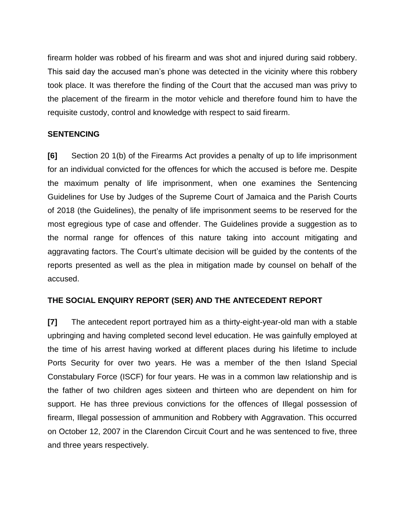firearm holder was robbed of his firearm and was shot and injured during said robbery. This said day the accused man's phone was detected in the vicinity where this robbery took place. It was therefore the finding of the Court that the accused man was privy to the placement of the firearm in the motor vehicle and therefore found him to have the requisite custody, control and knowledge with respect to said firearm.

## **SENTENCING**

**[6]** Section 20 1(b) of the Firearms Act provides a penalty of up to life imprisonment for an individual convicted for the offences for which the accused is before me. Despite the maximum penalty of life imprisonment, when one examines the Sentencing Guidelines for Use by Judges of the Supreme Court of Jamaica and the Parish Courts of 2018 (the Guidelines), the penalty of life imprisonment seems to be reserved for the most egregious type of case and offender. The Guidelines provide a suggestion as to the normal range for offences of this nature taking into account mitigating and aggravating factors. The Court's ultimate decision will be guided by the contents of the reports presented as well as the plea in mitigation made by counsel on behalf of the accused.

## **THE SOCIAL ENQUIRY REPORT (SER) AND THE ANTECEDENT REPORT**

**[7]** The antecedent report portrayed him as a thirty-eight-year-old man with a stable upbringing and having completed second level education. He was gainfully employed at the time of his arrest having worked at different places during his lifetime to include Ports Security for over two years. He was a member of the then Island Special Constabulary Force (ISCF) for four years. He was in a common law relationship and is the father of two children ages sixteen and thirteen who are dependent on him for support. He has three previous convictions for the offences of Illegal possession of firearm, Illegal possession of ammunition and Robbery with Aggravation. This occurred on October 12, 2007 in the Clarendon Circuit Court and he was sentenced to five, three and three years respectively.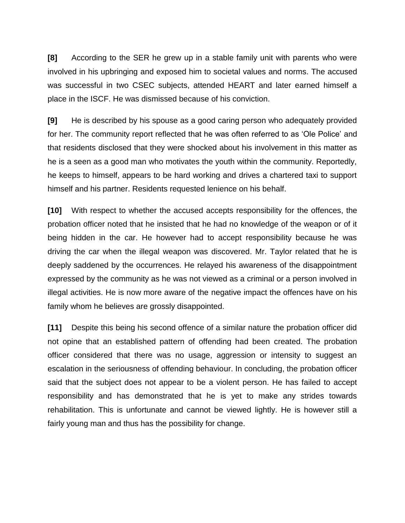**[8]** According to the SER he grew up in a stable family unit with parents who were involved in his upbringing and exposed him to societal values and norms. The accused was successful in two CSEC subjects, attended HEART and later earned himself a place in the ISCF. He was dismissed because of his conviction.

**[9]** He is described by his spouse as a good caring person who adequately provided for her. The community report reflected that he was often referred to as 'Ole Police' and that residents disclosed that they were shocked about his involvement in this matter as he is a seen as a good man who motivates the youth within the community. Reportedly, he keeps to himself, appears to be hard working and drives a chartered taxi to support himself and his partner. Residents requested lenience on his behalf.

**[10]** With respect to whether the accused accepts responsibility for the offences, the probation officer noted that he insisted that he had no knowledge of the weapon or of it being hidden in the car. He however had to accept responsibility because he was driving the car when the illegal weapon was discovered. Mr. Taylor related that he is deeply saddened by the occurrences. He relayed his awareness of the disappointment expressed by the community as he was not viewed as a criminal or a person involved in illegal activities. He is now more aware of the negative impact the offences have on his family whom he believes are grossly disappointed.

**[11]** Despite this being his second offence of a similar nature the probation officer did not opine that an established pattern of offending had been created. The probation officer considered that there was no usage, aggression or intensity to suggest an escalation in the seriousness of offending behaviour. In concluding, the probation officer said that the subject does not appear to be a violent person. He has failed to accept responsibility and has demonstrated that he is yet to make any strides towards rehabilitation. This is unfortunate and cannot be viewed lightly. He is however still a fairly young man and thus has the possibility for change.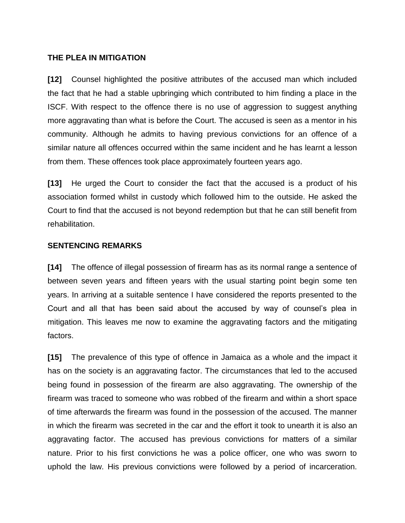### **THE PLEA IN MITIGATION**

**[12]** Counsel highlighted the positive attributes of the accused man which included the fact that he had a stable upbringing which contributed to him finding a place in the ISCF. With respect to the offence there is no use of aggression to suggest anything more aggravating than what is before the Court. The accused is seen as a mentor in his community. Although he admits to having previous convictions for an offence of a similar nature all offences occurred within the same incident and he has learnt a lesson from them. These offences took place approximately fourteen years ago.

**[13]** He urged the Court to consider the fact that the accused is a product of his association formed whilst in custody which followed him to the outside. He asked the Court to find that the accused is not beyond redemption but that he can still benefit from rehabilitation.

#### **SENTENCING REMARKS**

**[14]** The offence of illegal possession of firearm has as its normal range a sentence of between seven years and fifteen years with the usual starting point begin some ten years. In arriving at a suitable sentence I have considered the reports presented to the Court and all that has been said about the accused by way of counsel's plea in mitigation. This leaves me now to examine the aggravating factors and the mitigating factors.

**[15]** The prevalence of this type of offence in Jamaica as a whole and the impact it has on the society is an aggravating factor. The circumstances that led to the accused being found in possession of the firearm are also aggravating. The ownership of the firearm was traced to someone who was robbed of the firearm and within a short space of time afterwards the firearm was found in the possession of the accused. The manner in which the firearm was secreted in the car and the effort it took to unearth it is also an aggravating factor. The accused has previous convictions for matters of a similar nature. Prior to his first convictions he was a police officer, one who was sworn to uphold the law. His previous convictions were followed by a period of incarceration.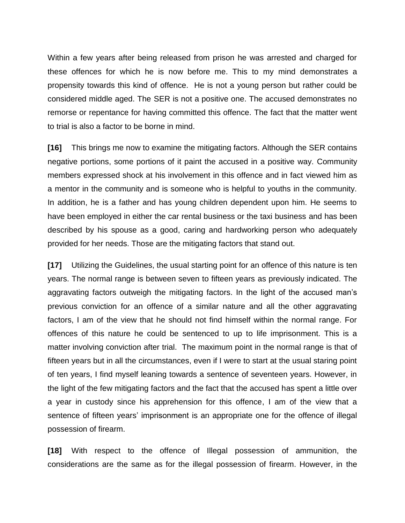Within a few years after being released from prison he was arrested and charged for these offences for which he is now before me. This to my mind demonstrates a propensity towards this kind of offence. He is not a young person but rather could be considered middle aged. The SER is not a positive one. The accused demonstrates no remorse or repentance for having committed this offence. The fact that the matter went to trial is also a factor to be borne in mind.

**[16]** This brings me now to examine the mitigating factors. Although the SER contains negative portions, some portions of it paint the accused in a positive way. Community members expressed shock at his involvement in this offence and in fact viewed him as a mentor in the community and is someone who is helpful to youths in the community. In addition, he is a father and has young children dependent upon him. He seems to have been employed in either the car rental business or the taxi business and has been described by his spouse as a good, caring and hardworking person who adequately provided for her needs. Those are the mitigating factors that stand out.

**[17]** Utilizing the Guidelines, the usual starting point for an offence of this nature is ten years. The normal range is between seven to fifteen years as previously indicated. The aggravating factors outweigh the mitigating factors. In the light of the accused man's previous conviction for an offence of a similar nature and all the other aggravating factors, I am of the view that he should not find himself within the normal range. For offences of this nature he could be sentenced to up to life imprisonment. This is a matter involving conviction after trial. The maximum point in the normal range is that of fifteen years but in all the circumstances, even if I were to start at the usual staring point of ten years, I find myself leaning towards a sentence of seventeen years. However, in the light of the few mitigating factors and the fact that the accused has spent a little over a year in custody since his apprehension for this offence, I am of the view that a sentence of fifteen years' imprisonment is an appropriate one for the offence of illegal possession of firearm.

**[18]** With respect to the offence of Illegal possession of ammunition, the considerations are the same as for the illegal possession of firearm. However, in the